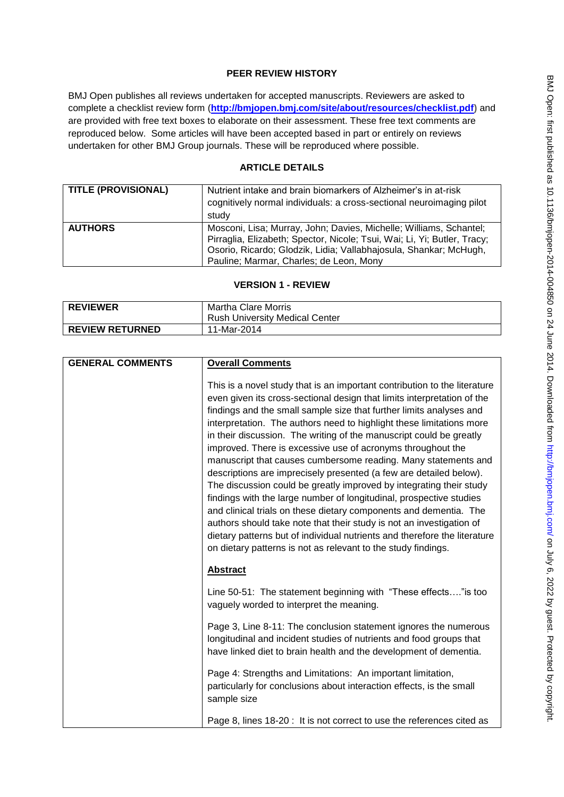# **PEER REVIEW HISTORY**

BMJ Open publishes all reviews undertaken for accepted manuscripts. Reviewers are asked to complete a checklist review form (**[http://bmjopen.bmj.com/site/about/resources/checklist.pdf\)](http://bmjopen.bmj.com/site/about/resources/checklist.pdf)** and are provided with free text boxes to elaborate on their assessment. These free text comments are reproduced below. Some articles will have been accepted based in part or entirely on reviews undertaken for other BMJ Group journals. These will be reproduced where possible.

# **ARTICLE DETAILS**

| <b>TITLE (PROVISIONAL)</b> | Nutrient intake and brain biomarkers of Alzheimer's in at-risk<br>cognitively normal individuals: a cross-sectional neuroimaging pilot<br>study                                                                                                                |
|----------------------------|----------------------------------------------------------------------------------------------------------------------------------------------------------------------------------------------------------------------------------------------------------------|
| <b>AUTHORS</b>             | Mosconi, Lisa; Murray, John; Davies, Michelle; Williams, Schantel;<br>Pirraglia, Elizabeth; Spector, Nicole; Tsui, Wai; Li, Yi; Butler, Tracy;<br>Osorio, Ricardo; Glodzik, Lidia; Vallabhajosula, Shankar; McHugh,<br>Pauline; Marmar, Charles; de Leon, Mony |

# **VERSION 1 - REVIEW**

| <b>REVIEWER</b>        | Martha Clare Morris                   |
|------------------------|---------------------------------------|
|                        | <b>Rush University Medical Center</b> |
| <b>REVIEW RETURNED</b> | 11-Mar-2014                           |

| <b>GENERAL COMMENTS</b> | <b>Overall Comments</b>                                                                                                                                                                                                                                                                                                                                                                                                                                                                                                                                                                                                                                                                                                                                                                                                                                                                                                                                                                                                    |
|-------------------------|----------------------------------------------------------------------------------------------------------------------------------------------------------------------------------------------------------------------------------------------------------------------------------------------------------------------------------------------------------------------------------------------------------------------------------------------------------------------------------------------------------------------------------------------------------------------------------------------------------------------------------------------------------------------------------------------------------------------------------------------------------------------------------------------------------------------------------------------------------------------------------------------------------------------------------------------------------------------------------------------------------------------------|
|                         | This is a novel study that is an important contribution to the literature<br>even given its cross-sectional design that limits interpretation of the<br>findings and the small sample size that further limits analyses and<br>interpretation. The authors need to highlight these limitations more<br>in their discussion. The writing of the manuscript could be greatly<br>improved. There is excessive use of acronyms throughout the<br>manuscript that causes cumbersome reading. Many statements and<br>descriptions are imprecisely presented (a few are detailed below).<br>The discussion could be greatly improved by integrating their study<br>findings with the large number of longitudinal, prospective studies<br>and clinical trials on these dietary components and dementia. The<br>authors should take note that their study is not an investigation of<br>dietary patterns but of individual nutrients and therefore the literature<br>on dietary patterns is not as relevant to the study findings. |
|                         | <b>Abstract</b>                                                                                                                                                                                                                                                                                                                                                                                                                                                                                                                                                                                                                                                                                                                                                                                                                                                                                                                                                                                                            |
|                         | Line 50-51: The statement beginning with "These effects" is too<br>vaguely worded to interpret the meaning.                                                                                                                                                                                                                                                                                                                                                                                                                                                                                                                                                                                                                                                                                                                                                                                                                                                                                                                |
|                         | Page 3, Line 8-11: The conclusion statement ignores the numerous<br>longitudinal and incident studies of nutrients and food groups that<br>have linked diet to brain health and the development of dementia.                                                                                                                                                                                                                                                                                                                                                                                                                                                                                                                                                                                                                                                                                                                                                                                                               |
|                         | Page 4: Strengths and Limitations: An important limitation,<br>particularly for conclusions about interaction effects, is the small<br>sample size                                                                                                                                                                                                                                                                                                                                                                                                                                                                                                                                                                                                                                                                                                                                                                                                                                                                         |
|                         | Page 8, lines 18-20: It is not correct to use the references cited as                                                                                                                                                                                                                                                                                                                                                                                                                                                                                                                                                                                                                                                                                                                                                                                                                                                                                                                                                      |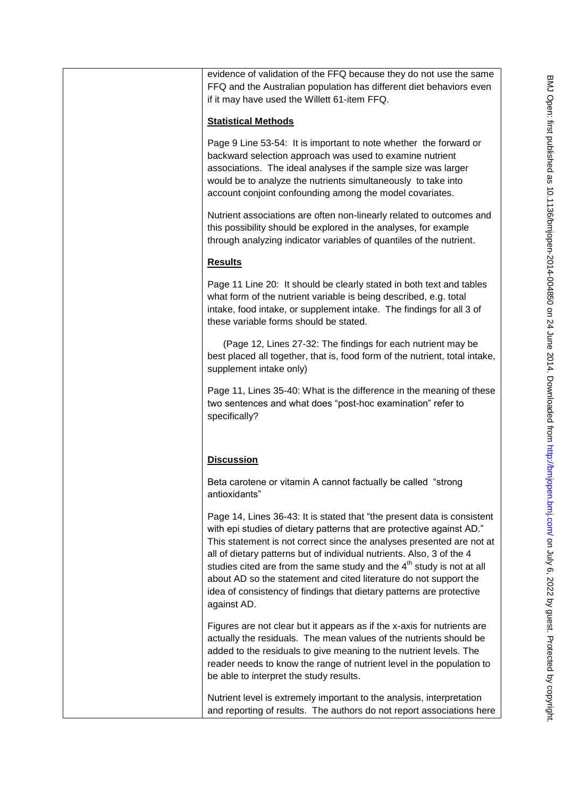| evidence of validation of the FFQ because they do not use the same<br>FFQ and the Australian population has different diet behaviors even<br>if it may have used the Willett 61-item FFQ.                                                                                                                                                                                                                                                                                                                                                 |
|-------------------------------------------------------------------------------------------------------------------------------------------------------------------------------------------------------------------------------------------------------------------------------------------------------------------------------------------------------------------------------------------------------------------------------------------------------------------------------------------------------------------------------------------|
| <b>Statistical Methods</b>                                                                                                                                                                                                                                                                                                                                                                                                                                                                                                                |
| Page 9 Line 53-54: It is important to note whether the forward or<br>backward selection approach was used to examine nutrient<br>associations. The ideal analyses if the sample size was larger<br>would be to analyze the nutrients simultaneously to take into<br>account conjoint confounding among the model covariates.                                                                                                                                                                                                              |
| Nutrient associations are often non-linearly related to outcomes and<br>this possibility should be explored in the analyses, for example<br>through analyzing indicator variables of quantiles of the nutrient.                                                                                                                                                                                                                                                                                                                           |
| <b>Results</b>                                                                                                                                                                                                                                                                                                                                                                                                                                                                                                                            |
| Page 11 Line 20: It should be clearly stated in both text and tables<br>what form of the nutrient variable is being described, e.g. total<br>intake, food intake, or supplement intake. The findings for all 3 of<br>these variable forms should be stated.                                                                                                                                                                                                                                                                               |
| (Page 12, Lines 27-32: The findings for each nutrient may be<br>best placed all together, that is, food form of the nutrient, total intake,<br>supplement intake only)                                                                                                                                                                                                                                                                                                                                                                    |
| Page 11, Lines 35-40: What is the difference in the meaning of these<br>two sentences and what does "post-hoc examination" refer to<br>specifically?                                                                                                                                                                                                                                                                                                                                                                                      |
| <b>Discussion</b>                                                                                                                                                                                                                                                                                                                                                                                                                                                                                                                         |
| Beta carotene or vitamin A cannot factually be called "strong"<br>antioxidants                                                                                                                                                                                                                                                                                                                                                                                                                                                            |
| Page 14, Lines 36-43: It is stated that "the present data is consistent<br>with epi studies of dietary patterns that are protective against AD."<br>This statement is not correct since the analyses presented are not at<br>all of dietary patterns but of individual nutrients. Also, 3 of the 4<br>studies cited are from the same study and the $4th$ study is not at all<br>about AD so the statement and cited literature do not support the<br>idea of consistency of findings that dietary patterns are protective<br>against AD. |
| Figures are not clear but it appears as if the x-axis for nutrients are<br>actually the residuals. The mean values of the nutrients should be<br>added to the residuals to give meaning to the nutrient levels. The<br>reader needs to know the range of nutrient level in the population to<br>be able to interpret the study results.                                                                                                                                                                                                   |
| Nutrient level is extremely important to the analysis, interpretation<br>and reporting of results. The authors do not report associations here                                                                                                                                                                                                                                                                                                                                                                                            |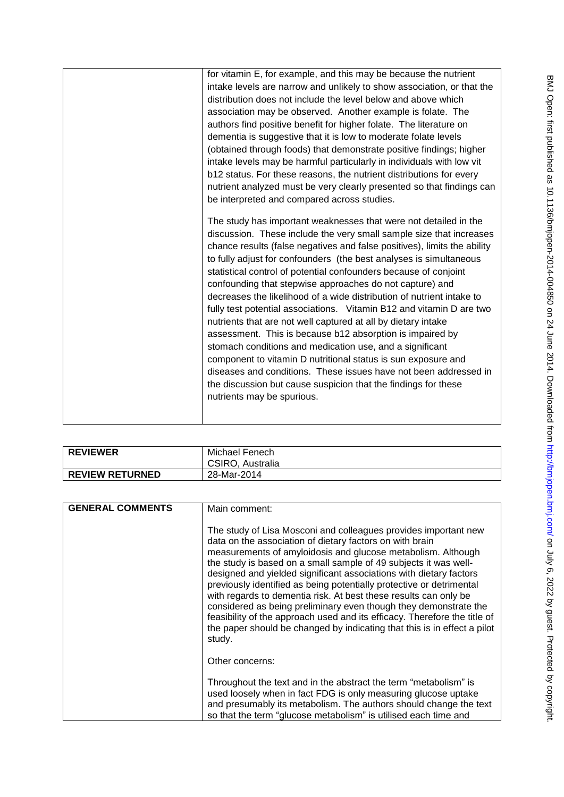| for vitamin E, for example, and this may be because the nutrient<br>intake levels are narrow and unlikely to show association, or that the<br>distribution does not include the level below and above which<br>association may be observed. Another example is folate. The<br>authors find positive benefit for higher folate. The literature on<br>dementia is suggestive that it is low to moderate folate levels<br>(obtained through foods) that demonstrate positive findings; higher<br>intake levels may be harmful particularly in individuals with low vit<br>b12 status. For these reasons, the nutrient distributions for every<br>nutrient analyzed must be very clearly presented so that findings can<br>be interpreted and compared across studies.<br>The study has important weaknesses that were not detailed in the<br>discussion. These include the very small sample size that increases<br>chance results (false negatives and false positives), limits the ability<br>to fully adjust for confounders (the best analyses is simultaneous<br>statistical control of potential confounders because of conjoint<br>confounding that stepwise approaches do not capture) and<br>decreases the likelihood of a wide distribution of nutrient intake to<br>fully test potential associations. Vitamin B12 and vitamin D are two<br>nutrients that are not well captured at all by dietary intake<br>assessment. This is because b12 absorption is impaired by<br>stomach conditions and medication use, and a significant |
|--------------------------------------------------------------------------------------------------------------------------------------------------------------------------------------------------------------------------------------------------------------------------------------------------------------------------------------------------------------------------------------------------------------------------------------------------------------------------------------------------------------------------------------------------------------------------------------------------------------------------------------------------------------------------------------------------------------------------------------------------------------------------------------------------------------------------------------------------------------------------------------------------------------------------------------------------------------------------------------------------------------------------------------------------------------------------------------------------------------------------------------------------------------------------------------------------------------------------------------------------------------------------------------------------------------------------------------------------------------------------------------------------------------------------------------------------------------------------------------------------------------------------------------------|
| component to vitamin D nutritional status is sun exposure and<br>diseases and conditions. These issues have not been addressed in<br>the discussion but cause suspicion that the findings for these<br>nutrients may be spurious.                                                                                                                                                                                                                                                                                                                                                                                                                                                                                                                                                                                                                                                                                                                                                                                                                                                                                                                                                                                                                                                                                                                                                                                                                                                                                                          |
|                                                                                                                                                                                                                                                                                                                                                                                                                                                                                                                                                                                                                                                                                                                                                                                                                                                                                                                                                                                                                                                                                                                                                                                                                                                                                                                                                                                                                                                                                                                                            |

| <b>REVIEWER</b>        | Michael Fenech<br>CSIRO, Australia |
|------------------------|------------------------------------|
| <b>REVIEW RETURNED</b> | 28-Mar-2014                        |

| <b>GENERAL COMMENTS</b> | Main comment:                                                                                                                                                                                                                                                                                                                                                                                                                                                                                                                                                                                                                                                                                                            |
|-------------------------|--------------------------------------------------------------------------------------------------------------------------------------------------------------------------------------------------------------------------------------------------------------------------------------------------------------------------------------------------------------------------------------------------------------------------------------------------------------------------------------------------------------------------------------------------------------------------------------------------------------------------------------------------------------------------------------------------------------------------|
|                         | The study of Lisa Mosconi and colleagues provides important new<br>data on the association of dietary factors on with brain<br>measurements of amyloidosis and glucose metabolism. Although<br>the study is based on a small sample of 49 subjects it was well-<br>designed and yielded significant associations with dietary factors<br>previously identified as being potentially protective or detrimental<br>with regards to dementia risk. At best these results can only be<br>considered as being preliminary even though they demonstrate the<br>feasibility of the approach used and its efficacy. Therefore the title of<br>the paper should be changed by indicating that this is in effect a pilot<br>study. |
|                         | Other concerns:                                                                                                                                                                                                                                                                                                                                                                                                                                                                                                                                                                                                                                                                                                          |
|                         | Throughout the text and in the abstract the term "metabolism" is<br>used loosely when in fact FDG is only measuring glucose uptake<br>and presumably its metabolism. The authors should change the text<br>so that the term "glucose metabolism" is utilised each time and                                                                                                                                                                                                                                                                                                                                                                                                                                               |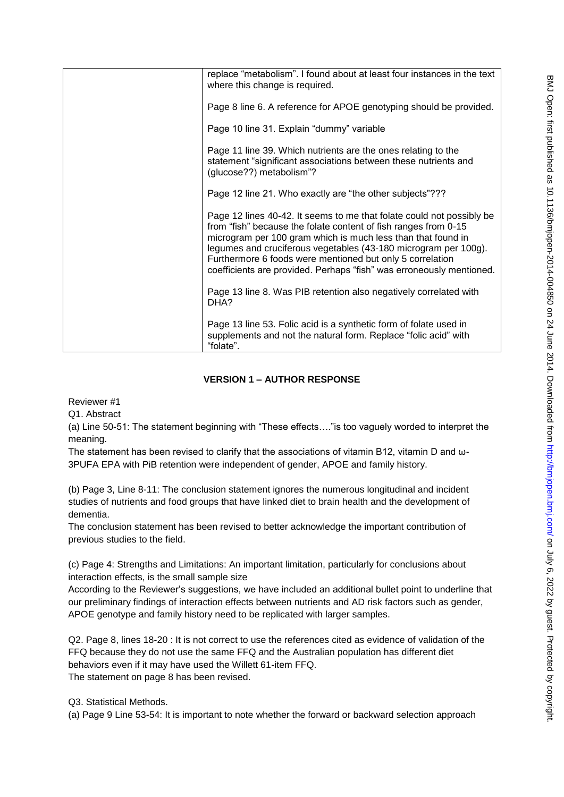| replace "metabolism". I found about at least four instances in the text<br>where this change is required.                                                                                                                                                                                                                                                                                                        |
|------------------------------------------------------------------------------------------------------------------------------------------------------------------------------------------------------------------------------------------------------------------------------------------------------------------------------------------------------------------------------------------------------------------|
| Page 8 line 6. A reference for APOE genotyping should be provided.                                                                                                                                                                                                                                                                                                                                               |
| Page 10 line 31. Explain "dummy" variable                                                                                                                                                                                                                                                                                                                                                                        |
| Page 11 line 39. Which nutrients are the ones relating to the<br>statement "significant associations between these nutrients and<br>(glucose??) metabolism"?                                                                                                                                                                                                                                                     |
| Page 12 line 21. Who exactly are "the other subjects"???                                                                                                                                                                                                                                                                                                                                                         |
| Page 12 lines 40-42. It seems to me that folate could not possibly be<br>from "fish" because the folate content of fish ranges from 0-15<br>microgram per 100 gram which is much less than that found in<br>legumes and cruciferous vegetables (43-180 microgram per 100g).<br>Furthermore 6 foods were mentioned but only 5 correlation<br>coefficients are provided. Perhaps "fish" was erroneously mentioned. |
| Page 13 line 8. Was PIB retention also negatively correlated with<br>DHA?                                                                                                                                                                                                                                                                                                                                        |
| Page 13 line 53. Folic acid is a synthetic form of folate used in<br>supplements and not the natural form. Replace "folic acid" with<br>"folate".                                                                                                                                                                                                                                                                |

# **VERSION 1 – AUTHOR RESPONSE**

Reviewer #1

Q1. Abstract

(a) Line 50-51: The statement beginning with "These effects…."is too vaguely worded to interpret the meaning.

The statement has been revised to clarify that the associations of vitamin B12, vitamin D and ω-3PUFA EPA with PiB retention were independent of gender, APOE and family history.

(b) Page 3, Line 8-11: The conclusion statement ignores the numerous longitudinal and incident studies of nutrients and food groups that have linked diet to brain health and the development of dementia.

The conclusion statement has been revised to better acknowledge the important contribution of previous studies to the field.

(c) Page 4: Strengths and Limitations: An important limitation, particularly for conclusions about interaction effects, is the small sample size

According to the Reviewer"s suggestions, we have included an additional bullet point to underline that our preliminary findings of interaction effects between nutrients and AD risk factors such as gender, APOE genotype and family history need to be replicated with larger samples.

Q2. Page 8, lines 18-20 : It is not correct to use the references cited as evidence of validation of the FFQ because they do not use the same FFQ and the Australian population has different diet behaviors even if it may have used the Willett 61-item FFQ. The statement on page 8 has been revised.

Q3. Statistical Methods.

(a) Page 9 Line 53-54: It is important to note whether the forward or backward selection approach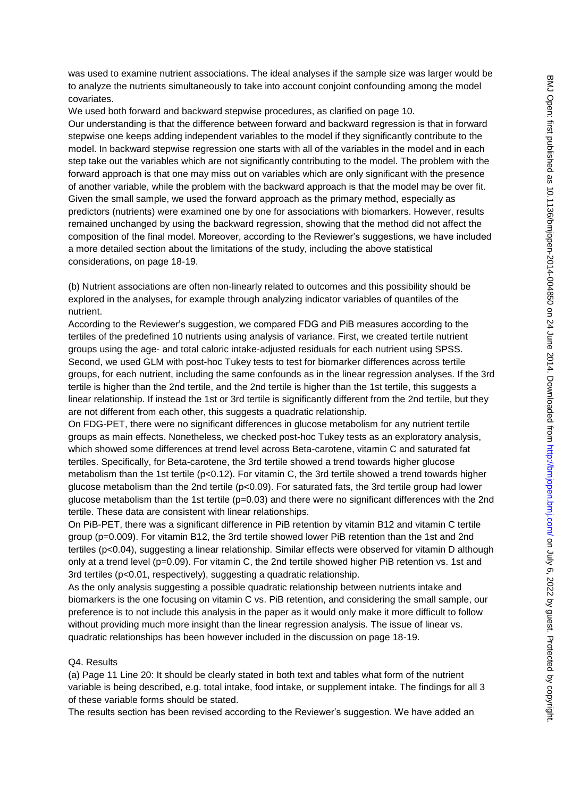was used to examine nutrient associations. The ideal analyses if the sample size was larger would be to analyze the nutrients simultaneously to take into account conjoint confounding among the model covariates.

We used both forward and backward stepwise procedures, as clarified on page 10.

Our understanding is that the difference between forward and backward regression is that in forward stepwise one keeps adding independent variables to the model if they significantly contribute to the model. In backward stepwise regression one starts with all of the variables in the model and in each step take out the variables which are not significantly contributing to the model. The problem with the forward approach is that one may miss out on variables which are only significant with the presence of another variable, while the problem with the backward approach is that the model may be over fit. Given the small sample, we used the forward approach as the primary method, especially as predictors (nutrients) were examined one by one for associations with biomarkers. However, results remained unchanged by using the backward regression, showing that the method did not affect the composition of the final model. Moreover, according to the Reviewer"s suggestions, we have included a more detailed section about the limitations of the study, including the above statistical considerations, on page 18-19.

(b) Nutrient associations are often non-linearly related to outcomes and this possibility should be explored in the analyses, for example through analyzing indicator variables of quantiles of the nutrient.

According to the Reviewer"s suggestion, we compared FDG and PiB measures according to the tertiles of the predefined 10 nutrients using analysis of variance. First, we created tertile nutrient groups using the age- and total caloric intake-adjusted residuals for each nutrient using SPSS. Second, we used GLM with post-hoc Tukey tests to test for biomarker differences across tertile groups, for each nutrient, including the same confounds as in the linear regression analyses. If the 3rd tertile is higher than the 2nd tertile, and the 2nd tertile is higher than the 1st tertile, this suggests a linear relationship. If instead the 1st or 3rd tertile is significantly different from the 2nd tertile, but they are not different from each other, this suggests a quadratic relationship.

On FDG-PET, there were no significant differences in glucose metabolism for any nutrient tertile groups as main effects. Nonetheless, we checked post-hoc Tukey tests as an exploratory analysis, which showed some differences at trend level across Beta-carotene, vitamin C and saturated fat tertiles. Specifically, for Beta-carotene, the 3rd tertile showed a trend towards higher glucose metabolism than the 1st tertile (p<0.12). For vitamin C, the 3rd tertile showed a trend towards higher glucose metabolism than the 2nd tertile (p<0.09). For saturated fats, the 3rd tertile group had lower glucose metabolism than the 1st tertile ( $p=0.03$ ) and there were no significant differences with the 2nd tertile. These data are consistent with linear relationships.

On PiB-PET, there was a significant difference in PiB retention by vitamin B12 and vitamin C tertile group (p=0.009). For vitamin B12, the 3rd tertile showed lower PiB retention than the 1st and 2nd tertiles (p<0.04), suggesting a linear relationship. Similar effects were observed for vitamin D although only at a trend level ( $p=0.09$ ). For vitamin C, the 2nd tertile showed higher PiB retention vs. 1st and 3rd tertiles (p<0.01, respectively), suggesting a quadratic relationship.

As the only analysis suggesting a possible quadratic relationship between nutrients intake and biomarkers is the one focusing on vitamin C vs. PiB retention, and considering the small sample, our preference is to not include this analysis in the paper as it would only make it more difficult to follow without providing much more insight than the linear regression analysis. The issue of linear vs. quadratic relationships has been however included in the discussion on page 18-19.

#### Q4. Results

(a) Page 11 Line 20: It should be clearly stated in both text and tables what form of the nutrient variable is being described, e.g. total intake, food intake, or supplement intake. The findings for all 3 of these variable forms should be stated.

The results section has been revised according to the Reviewer"s suggestion. We have added an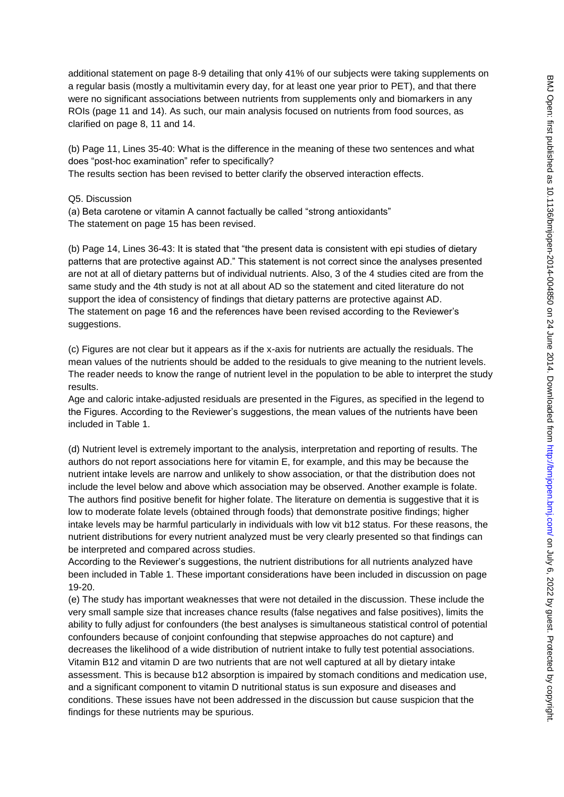additional statement on page 8-9 detailing that only 41% of our subjects were taking supplements on a regular basis (mostly a multivitamin every day, for at least one year prior to PET), and that there were no significant associations between nutrients from supplements only and biomarkers in any ROIs (page 11 and 14). As such, our main analysis focused on nutrients from food sources, as clarified on page 8, 11 and 14.

(b) Page 11, Lines 35-40: What is the difference in the meaning of these two sentences and what does "post-hoc examination" refer to specifically?

The results section has been revised to better clarify the observed interaction effects.

Q5. Discussion

(a) Beta carotene or vitamin A cannot factually be called "strong antioxidants" The statement on page 15 has been revised.

(b) Page 14, Lines 36-43: It is stated that "the present data is consistent with epi studies of dietary patterns that are protective against AD." This statement is not correct since the analyses presented are not at all of dietary patterns but of individual nutrients. Also, 3 of the 4 studies cited are from the same study and the 4th study is not at all about AD so the statement and cited literature do not support the idea of consistency of findings that dietary patterns are protective against AD. The statement on page 16 and the references have been revised according to the Reviewer"s suggestions.

(c) Figures are not clear but it appears as if the x-axis for nutrients are actually the residuals. The mean values of the nutrients should be added to the residuals to give meaning to the nutrient levels. The reader needs to know the range of nutrient level in the population to be able to interpret the study results.

Age and caloric intake-adjusted residuals are presented in the Figures, as specified in the legend to the Figures. According to the Reviewer"s suggestions, the mean values of the nutrients have been included in Table 1.

(d) Nutrient level is extremely important to the analysis, interpretation and reporting of results. The authors do not report associations here for vitamin E, for example, and this may be because the nutrient intake levels are narrow and unlikely to show association, or that the distribution does not include the level below and above which association may be observed. Another example is folate. The authors find positive benefit for higher folate. The literature on dementia is suggestive that it is low to moderate folate levels (obtained through foods) that demonstrate positive findings; higher intake levels may be harmful particularly in individuals with low vit b12 status. For these reasons, the nutrient distributions for every nutrient analyzed must be very clearly presented so that findings can be interpreted and compared across studies.

According to the Reviewer"s suggestions, the nutrient distributions for all nutrients analyzed have been included in Table 1. These important considerations have been included in discussion on page 19-20.

(e) The study has important weaknesses that were not detailed in the discussion. These include the very small sample size that increases chance results (false negatives and false positives), limits the ability to fully adjust for confounders (the best analyses is simultaneous statistical control of potential confounders because of conjoint confounding that stepwise approaches do not capture) and decreases the likelihood of a wide distribution of nutrient intake to fully test potential associations. Vitamin B12 and vitamin D are two nutrients that are not well captured at all by dietary intake assessment. This is because b12 absorption is impaired by stomach conditions and medication use, and a significant component to vitamin D nutritional status is sun exposure and diseases and conditions. These issues have not been addressed in the discussion but cause suspicion that the findings for these nutrients may be spurious.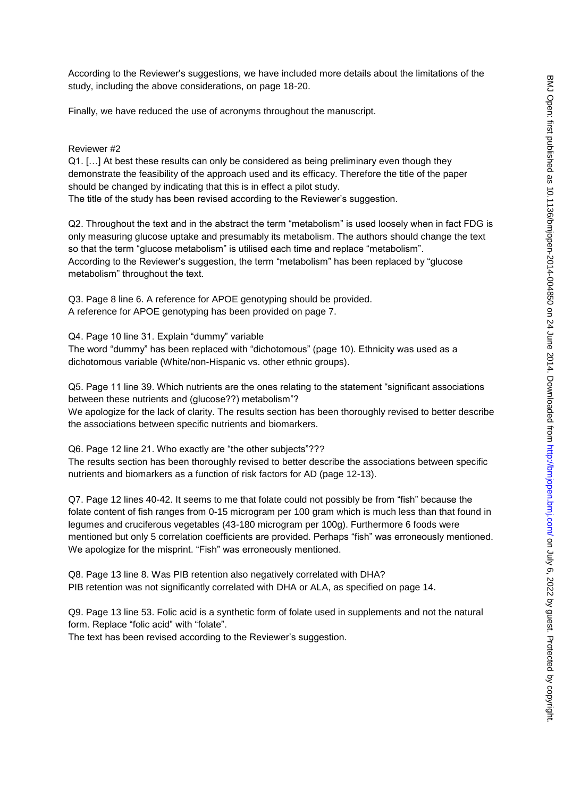According to the Reviewer"s suggestions, we have included more details about the limitations of the study, including the above considerations, on page 18-20.

Finally, we have reduced the use of acronyms throughout the manuscript.

#### Reviewer #2

Q1. […] At best these results can only be considered as being preliminary even though they demonstrate the feasibility of the approach used and its efficacy. Therefore the title of the paper should be changed by indicating that this is in effect a pilot study. The title of the study has been revised according to the Reviewer"s suggestion.

Q2. Throughout the text and in the abstract the term "metabolism" is used loosely when in fact FDG is only measuring glucose uptake and presumably its metabolism. The authors should change the text so that the term "glucose metabolism" is utilised each time and replace "metabolism". According to the Reviewer"s suggestion, the term "metabolism" has been replaced by "glucose metabolism" throughout the text.

Q3. Page 8 line 6. A reference for APOE genotyping should be provided. A reference for APOE genotyping has been provided on page 7.

Q4. Page 10 line 31. Explain "dummy" variable The word "dummy" has been replaced with "dichotomous" (page 10). Ethnicity was used as a dichotomous variable (White/non-Hispanic vs. other ethnic groups).

Q5. Page 11 line 39. Which nutrients are the ones relating to the statement "significant associations between these nutrients and (glucose??) metabolism"?

We apologize for the lack of clarity. The results section has been thoroughly revised to better describe the associations between specific nutrients and biomarkers.

Q6. Page 12 line 21. Who exactly are "the other subjects"??? The results section has been thoroughly revised to better describe the associations between specific nutrients and biomarkers as a function of risk factors for AD (page 12-13).

Q7. Page 12 lines 40-42. It seems to me that folate could not possibly be from "fish" because the folate content of fish ranges from 0-15 microgram per 100 gram which is much less than that found in legumes and cruciferous vegetables (43-180 microgram per 100g). Furthermore 6 foods were mentioned but only 5 correlation coefficients are provided. Perhaps "fish" was erroneously mentioned. We apologize for the misprint. "Fish" was erroneously mentioned.

Q8. Page 13 line 8. Was PIB retention also negatively correlated with DHA? PIB retention was not significantly correlated with DHA or ALA, as specified on page 14.

Q9. Page 13 line 53. Folic acid is a synthetic form of folate used in supplements and not the natural form. Replace "folic acid" with "folate".

The text has been revised according to the Reviewer's suggestion.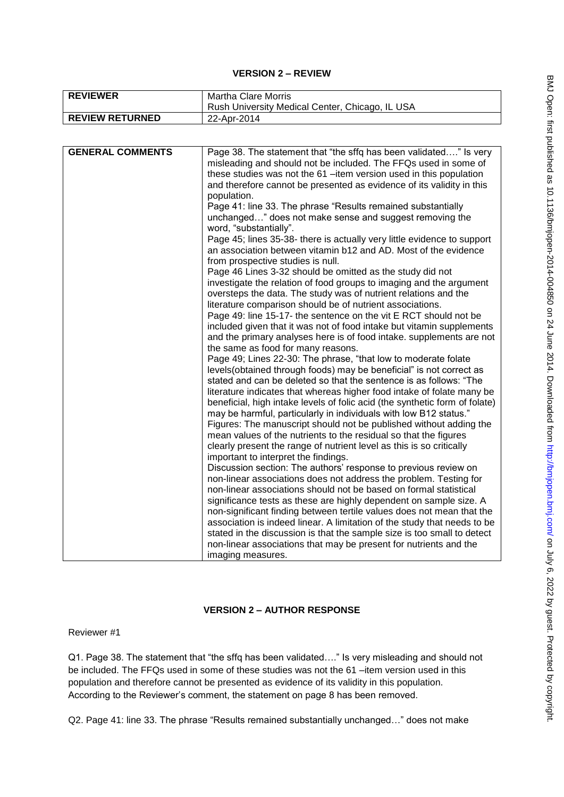### **VERSION 2 – REVIEW**

| <b>REVIEWER</b>        | Martha Clare Morris                             |
|------------------------|-------------------------------------------------|
|                        | Rush University Medical Center, Chicago, IL USA |
| <b>REVIEW RETURNED</b> | 22-Apr-2014                                     |

| <b>GENERAL COMMENTS</b> | Page 38. The statement that "the sffq has been validated" Is very           |
|-------------------------|-----------------------------------------------------------------------------|
|                         | misleading and should not be included. The FFQs used in some of             |
|                         | these studies was not the 61-item version used in this population           |
|                         | and therefore cannot be presented as evidence of its validity in this       |
|                         | population.                                                                 |
|                         | Page 41: line 33. The phrase "Results remained substantially                |
|                         | unchanged" does not make sense and suggest removing the                     |
|                         | word, "substantially".                                                      |
|                         | Page 45; lines 35-38- there is actually very little evidence to support     |
|                         | an association between vitamin b12 and AD. Most of the evidence             |
|                         | from prospective studies is null.                                           |
|                         | Page 46 Lines 3-32 should be omitted as the study did not                   |
|                         | investigate the relation of food groups to imaging and the argument         |
|                         | oversteps the data. The study was of nutrient relations and the             |
|                         | literature comparison should be of nutrient associations.                   |
|                         | Page 49: line 15-17- the sentence on the vit E RCT should not be            |
|                         | included given that it was not of food intake but vitamin supplements       |
|                         | and the primary analyses here is of food intake. supplements are not        |
|                         | the same as food for many reasons.                                          |
|                         | Page 49; Lines 22-30: The phrase, "that low to moderate folate              |
|                         | levels (obtained through foods) may be beneficial" is not correct as        |
|                         | stated and can be deleted so that the sentence is as follows: "The          |
|                         | literature indicates that whereas higher food intake of folate many be      |
|                         | beneficial, high intake levels of folic acid (the synthetic form of folate) |
|                         | may be harmful, particularly in individuals with low B12 status."           |
|                         | Figures: The manuscript should not be published without adding the          |
|                         | mean values of the nutrients to the residual so that the figures            |
|                         | clearly present the range of nutrient level as this is so critically        |
|                         | important to interpret the findings.                                        |
|                         | Discussion section: The authors' response to previous review on             |
|                         | non-linear associations does not address the problem. Testing for           |
|                         | non-linear associations should not be based on formal statistical           |
|                         | significance tests as these are highly dependent on sample size. A          |
|                         | non-significant finding between tertile values does not mean that the       |
|                         | association is indeed linear. A limitation of the study that needs to be    |
|                         | stated in the discussion is that the sample size is too small to detect     |
|                         | non-linear associations that may be present for nutrients and the           |
|                         | imaging measures.                                                           |

# **VERSION 2 – AUTHOR RESPONSE**

Reviewer #1

Q1. Page 38. The statement that "the sffq has been validated…." Is very misleading and should not be included. The FFQs used in some of these studies was not the 61 –item version used in this population and therefore cannot be presented as evidence of its validity in this population. According to the Reviewer"s comment, the statement on page 8 has been removed.

Q2. Page 41: line 33. The phrase "Results remained substantially unchanged…" does not make